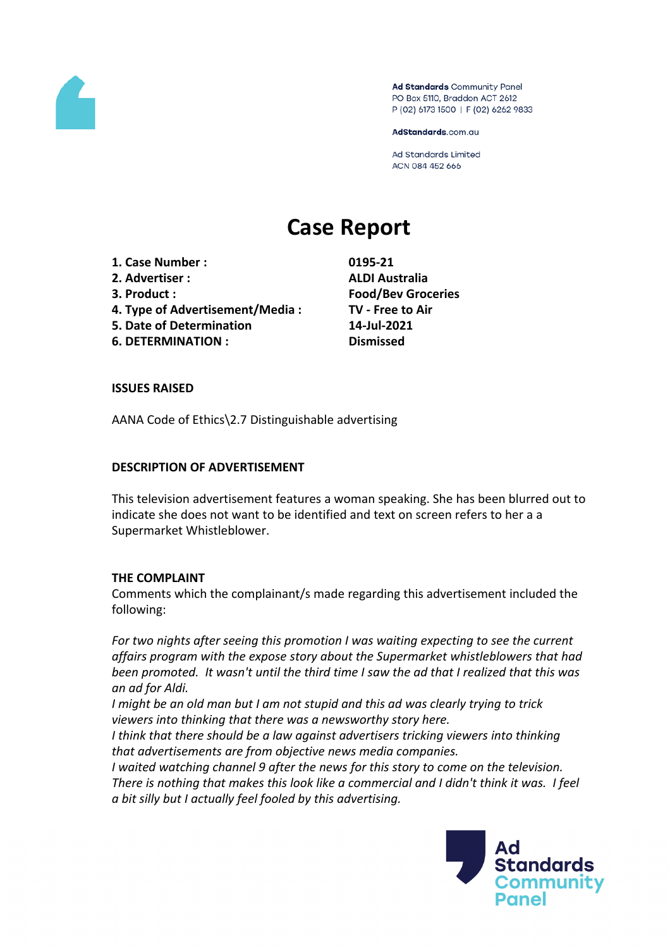

Ad Standards Community Panel PO Box 5110, Braddon ACT 2612 P (02) 6173 1500 | F (02) 6262 9833

AdStandards.com.au

**Ad Standards Limited** ACN 084 452 666

# **Case Report**

- **1. Case Number : 0195-21**
- **2. Advertiser : ALDI Australia**
- 
- **4. Type of Advertisement/Media : TV - Free to Air**
- **5. Date of Determination 14-Jul-2021**
- **6. DETERMINATION : Dismissed**

**3. Product : Food/Bev Groceries**

## **ISSUES RAISED**

AANA Code of Ethics\2.7 Distinguishable advertising

## **DESCRIPTION OF ADVERTISEMENT**

This television advertisement features a woman speaking. She has been blurred out to indicate she does not want to be identified and text on screen refers to her a a Supermarket Whistleblower.

#### **THE COMPLAINT**

Comments which the complainant/s made regarding this advertisement included the following:

*For two nights after seeing this promotion I was waiting expecting to see the current affairs program with the expose story about the Supermarket whistleblowers that had been promoted. It wasn't until the third time I saw the ad that I realized that this was an ad for Aldi.*

*I might be an old man but I am not stupid and this ad was clearly trying to trick viewers into thinking that there was a newsworthy story here.* 

*I think that there should be a law against advertisers tricking viewers into thinking that advertisements are from objective news media companies.*

*I waited watching channel 9 after the news for this story to come on the television. There is nothing that makes this look like a commercial and I didn't think it was. I feel a bit silly but I actually feel fooled by this advertising.*

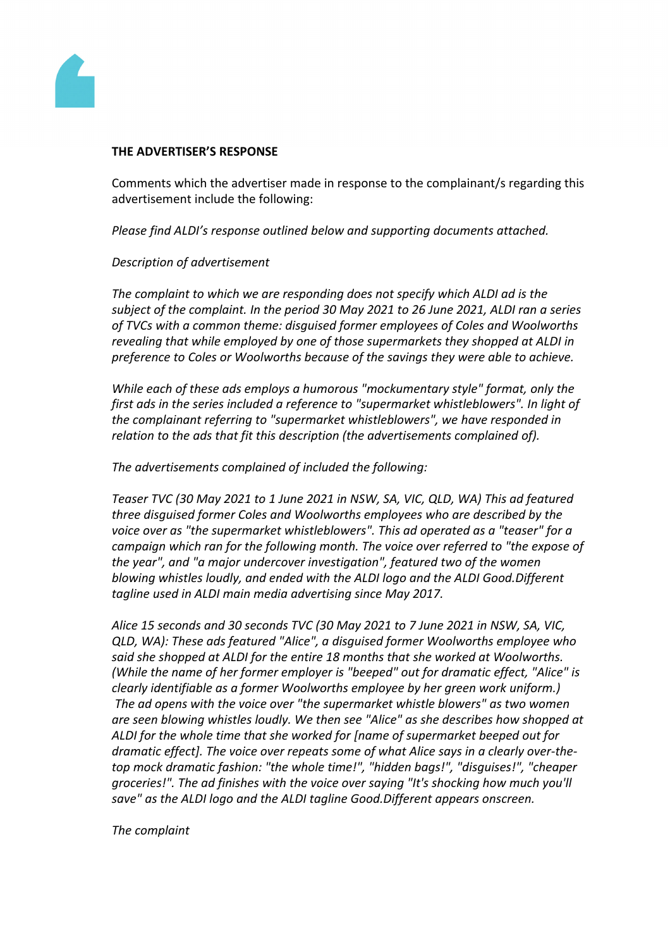

#### **THE ADVERTISER'S RESPONSE**

Comments which the advertiser made in response to the complainant/s regarding this advertisement include the following:

*Please find ALDI's response outlined below and supporting documents attached.*

#### *Description of advertisement*

*The complaint to which we are responding does not specify which ALDI ad is the subject of the complaint. In the period 30 May 2021 to 26 June 2021, ALDI ran a series of TVCs with a common theme: disguised former employees of Coles and Woolworths revealing that while employed by one of those supermarkets they shopped at ALDI in preference to Coles or Woolworths because of the savings they were able to achieve.*

*While each of these ads employs a humorous "mockumentary style" format, only the first ads in the series included a reference to "supermarket whistleblowers". In light of the complainant referring to "supermarket whistleblowers", we have responded in relation to the ads that fit this description (the advertisements complained of).*

*The advertisements complained of included the following:*

*Teaser TVC (30 May 2021 to 1 June 2021 in NSW, SA, VIC, QLD, WA) This ad featured three disguised former Coles and Woolworths employees who are described by the voice over as "the supermarket whistleblowers". This ad operated as a "teaser" for a campaign which ran for the following month. The voice over referred to "the expose of the year", and "a major undercover investigation", featured two of the women blowing whistles loudly, and ended with the ALDI logo and the ALDI Good.Different tagline used in ALDI main media advertising since May 2017.*

*Alice 15 seconds and 30 seconds TVC (30 May 2021 to 7 June 2021 in NSW, SA, VIC, QLD, WA): These ads featured "Alice", a disguised former Woolworths employee who said she shopped at ALDI for the entire 18 months that she worked at Woolworths. (While the name of her former employer is "beeped" out for dramatic effect, "Alice" is clearly identifiable as a former Woolworths employee by her green work uniform.) The ad opens with the voice over "the supermarket whistle blowers" as two women are seen blowing whistles loudly. We then see "Alice" as she describes how shopped at ALDI for the whole time that she worked for [name of supermarket beeped out for dramatic effect]. The voice over repeats some of what Alice says in a clearly over-thetop mock dramatic fashion: "the whole time!", "hidden bags!", "disguises!", "cheaper groceries!". The ad finishes with the voice over saying "It's shocking how much you'll save" as the ALDI logo and the ALDI tagline Good.Different appears onscreen.*

*The complaint*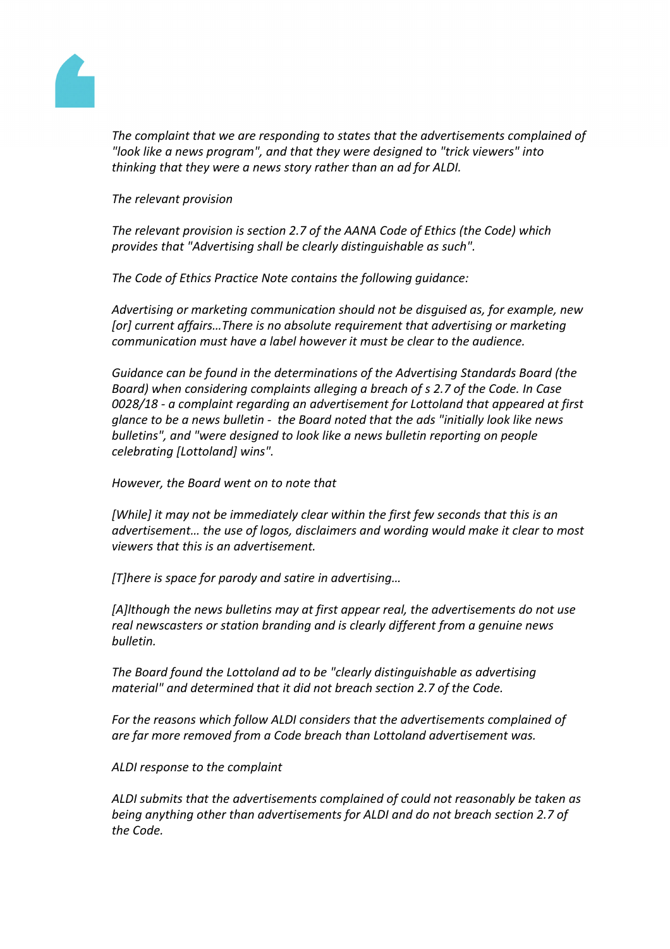

*The complaint that we are responding to states that the advertisements complained of "look like a news program", and that they were designed to "trick viewers" into thinking that they were a news story rather than an ad for ALDI.*

*The relevant provision*

*The relevant provision is section 2.7 of the AANA Code of Ethics (the Code) which provides that "Advertising shall be clearly distinguishable as such".*

*The Code of Ethics Practice Note contains the following guidance:*

*Advertising or marketing communication should not be disguised as, for example, new [or] current affairs…There is no absolute requirement that advertising or marketing communication must have a label however it must be clear to the audience.*

*Guidance can be found in the determinations of the Advertising Standards Board (the Board) when considering complaints alleging a breach of s 2.7 of the Code. In Case 0028/18 - a complaint regarding an advertisement for Lottoland that appeared at first glance to be a news bulletin - the Board noted that the ads "initially look like news bulletins", and "were designed to look like a news bulletin reporting on people celebrating [Lottoland] wins".*

*However, the Board went on to note that*

*[While] it may not be immediately clear within the first few seconds that this is an advertisement… the use of logos, disclaimers and wording would make it clear to most viewers that this is an advertisement.*

*[T]here is space for parody and satire in advertising…*

*[A]lthough the news bulletins may at first appear real, the advertisements do not use real newscasters or station branding and is clearly different from a genuine news bulletin.*

*The Board found the Lottoland ad to be "clearly distinguishable as advertising material" and determined that it did not breach section 2.7 of the Code.*

*For the reasons which follow ALDI considers that the advertisements complained of are far more removed from a Code breach than Lottoland advertisement was.*

*ALDI response to the complaint*

*ALDI submits that the advertisements complained of could not reasonably be taken as being anything other than advertisements for ALDI and do not breach section 2.7 of the Code.*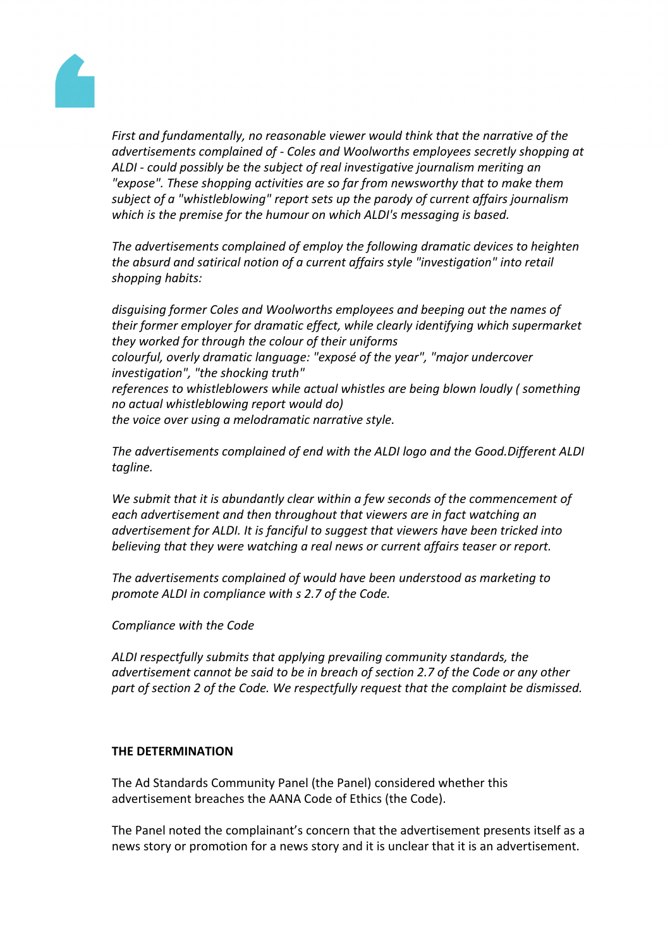

*First and fundamentally, no reasonable viewer would think that the narrative of the advertisements complained of - Coles and Woolworths employees secretly shopping at ALDI - could possibly be the subject of real investigative journalism meriting an "expose". These shopping activities are so far from newsworthy that to make them subject of a "whistleblowing" report sets up the parody of current affairs journalism which is the premise for the humour on which ALDI's messaging is based.*

*The advertisements complained of employ the following dramatic devices to heighten the absurd and satirical notion of a current affairs style "investigation" into retail shopping habits:*

*disguising former Coles and Woolworths employees and beeping out the names of their former employer for dramatic effect, while clearly identifying which supermarket they worked for through the colour of their uniforms colourful, overly dramatic language: "exposé of the year", "major undercover investigation", "the shocking truth" references to whistleblowers while actual whistles are being blown loudly ( something no actual whistleblowing report would do) the voice over using a melodramatic narrative style.*

*The advertisements complained of end with the ALDI logo and the Good.Different ALDI tagline.*

*We submit that it is abundantly clear within a few seconds of the commencement of each advertisement and then throughout that viewers are in fact watching an advertisement for ALDI. It is fanciful to suggest that viewers have been tricked into believing that they were watching a real news or current affairs teaser or report.*

*The advertisements complained of would have been understood as marketing to promote ALDI in compliance with s 2.7 of the Code.*

*Compliance with the Code*

*ALDI respectfully submits that applying prevailing community standards, the advertisement cannot be said to be in breach of section 2.7 of the Code or any other part of section 2 of the Code. We respectfully request that the complaint be dismissed.*

#### **THE DETERMINATION**

The Ad Standards Community Panel (the Panel) considered whether this advertisement breaches the AANA Code of Ethics (the Code).

The Panel noted the complainant's concern that the advertisement presents itself as a news story or promotion for a news story and it is unclear that it is an advertisement.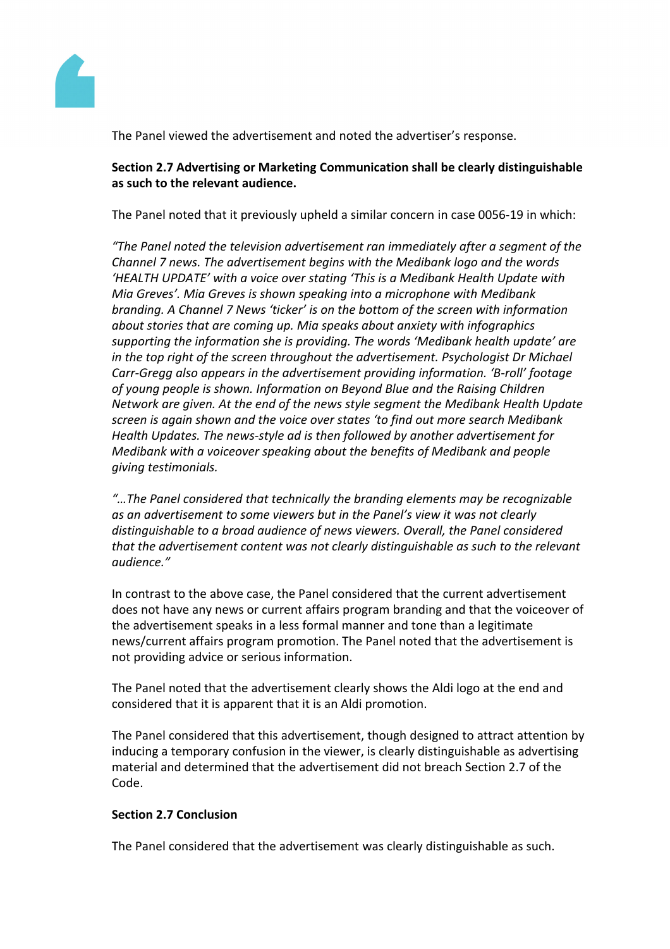

The Panel viewed the advertisement and noted the advertiser's response.

## **Section 2.7 Advertising or Marketing Communication shall be clearly distinguishable as such to the relevant audience.**

The Panel noted that it previously upheld a similar concern in case 0056-19 in which:

*"The Panel noted the television advertisement ran immediately after a segment of the Channel 7 news. The advertisement begins with the Medibank logo and the words 'HEALTH UPDATE' with a voice over stating 'This is a Medibank Health Update with Mia Greves'. Mia Greves is shown speaking into a microphone with Medibank branding. A Channel 7 News 'ticker' is on the bottom of the screen with information about stories that are coming up. Mia speaks about anxiety with infographics supporting the information she is providing. The words 'Medibank health update' are in the top right of the screen throughout the advertisement. Psychologist Dr Michael Carr-Gregg also appears in the advertisement providing information. 'B-roll' footage of young people is shown. Information on Beyond Blue and the Raising Children Network are given. At the end of the news style segment the Medibank Health Update screen is again shown and the voice over states 'to find out more search Medibank Health Updates. The news-style ad is then followed by another advertisement for Medibank with a voiceover speaking about the benefits of Medibank and people giving testimonials.*

*"…The Panel considered that technically the branding elements may be recognizable as an advertisement to some viewers but in the Panel's view it was not clearly distinguishable to a broad audience of news viewers. Overall, the Panel considered that the advertisement content was not clearly distinguishable as such to the relevant audience."*

In contrast to the above case, the Panel considered that the current advertisement does not have any news or current affairs program branding and that the voiceover of the advertisement speaks in a less formal manner and tone than a legitimate news/current affairs program promotion. The Panel noted that the advertisement is not providing advice or serious information.

The Panel noted that the advertisement clearly shows the Aldi logo at the end and considered that it is apparent that it is an Aldi promotion.

The Panel considered that this advertisement, though designed to attract attention by inducing a temporary confusion in the viewer, is clearly distinguishable as advertising material and determined that the advertisement did not breach Section 2.7 of the Code.

# **Section 2.7 Conclusion**

The Panel considered that the advertisement was clearly distinguishable as such.